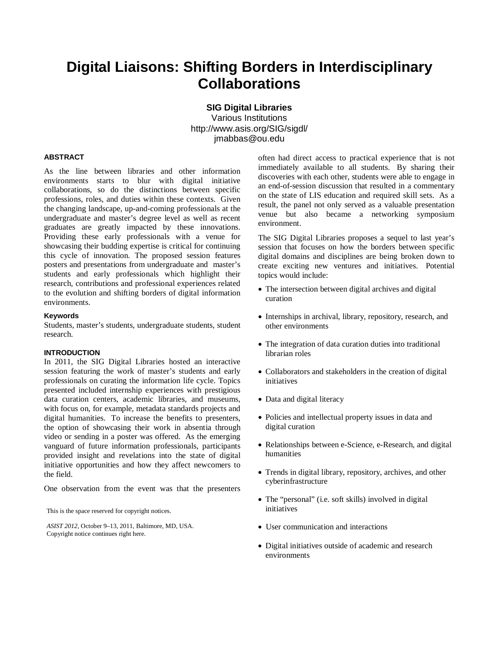# **Digital Liaisons: Shifting Borders in Interdisciplinary Collaborations**

**SIG Digital Libraries** Various Institutions http://www.asis.org/SIG/sigdl/ jmabbas@ou.edu

## **ABSTRACT**

As the line between libraries and other information environments starts to blur with digital initiative collaborations, so do the distinctions between specific professions, roles, and duties within these contexts. Given the changing landscape, up-and-coming professionals at the undergraduate and master's degree level as well as recent graduates are greatly impacted by these innovations. Providing these early professionals with a venue for showcasing their budding expertise is critical for continuing this cycle of innovation. The proposed session features posters and presentations from undergraduate and master's students and early professionals which highlight their research, contributions and professional experiences related to the evolution and shifting borders of digital information environments.

#### **Keywords**

Students, master's students, undergraduate students, student research.

#### **INTRODUCTION**

In 2011, the SIG Digital Libraries hosted an interactive session featuring the work of master's students and early professionals on curating the information life cycle. Topics presented included internship experiences with prestigious data curation centers, academic libraries, and museums, with focus on, for example, metadata standards projects and digital humanities. To increase the benefits to presenters, the option of showcasing their work in absentia through video or sending in a poster was offered. As the emerging vanguard of future information professionals, participants provided insight and revelations into the state of digital initiative opportunities and how they affect newcomers to the field.

One observation from the event was that the presenters

This is the space reserved for copyright notices.

*ASIST 2012,* October 9–13, 2011, Baltimore, MD, USA. Copyright notice continues right here.

often had direct access to practical experience that is not immediately available to all students. By sharing their discoveries with each other, students were able to engage in an end-of-session discussion that resulted in a commentary on the state of LIS education and required skill sets. As a result, the panel not only served as a valuable presentation venue but also became a networking symposium environment.

The SIG Digital Libraries proposes a sequel to last year's session that focuses on how the borders between specific digital domains and disciplines are being broken down to create exciting new ventures and initiatives. Potential topics would include:

- The intersection between digital archives and digital curation
- Internships in archival, library, repository, research, and other environments
- The integration of data curation duties into traditional librarian roles
- Collaborators and stakeholders in the creation of digital initiatives
- Data and digital literacy
- Policies and intellectual property issues in data and digital curation
- Relationships between e-Science, e-Research, and digital humanities
- Trends in digital library, repository, archives, and other cyberinfrastructure
- The "personal" (i.e. soft skills) involved in digital initiatives
- User communication and interactions
- Digital initiatives outside of academic and research environments